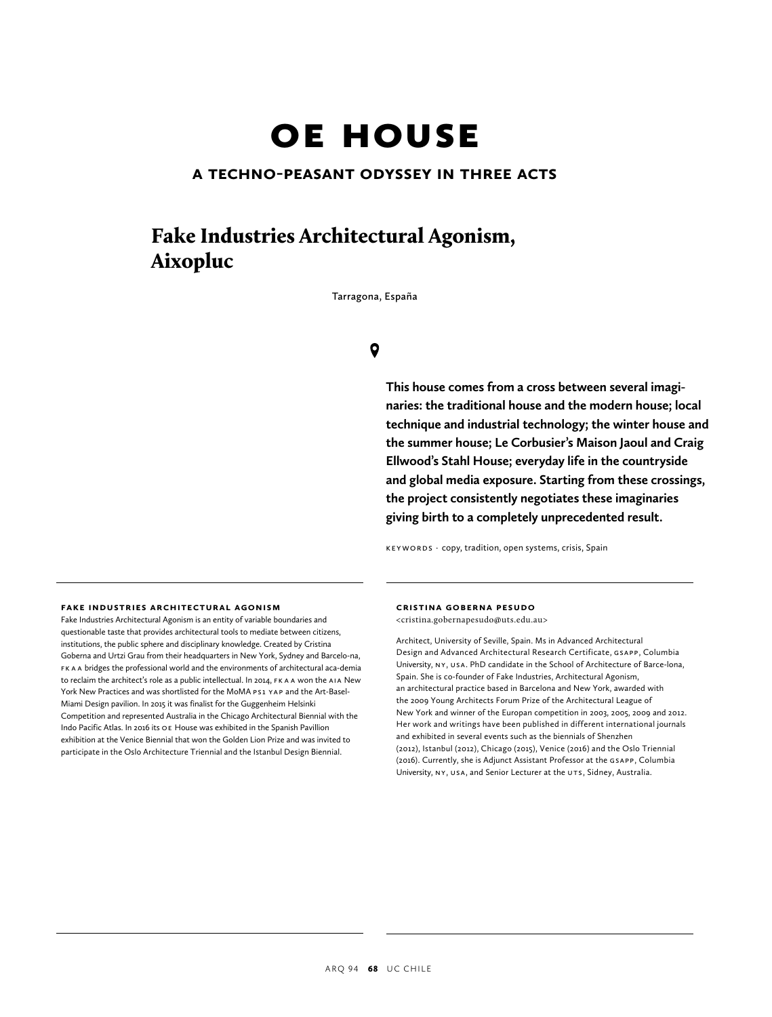# oE housE

## **a techno-peasant odyssey in three acts**

# Fake Industries Architectural Agonism, Aixopluc

**Tarragona, España**

# $\bullet$

**This house comes from a cross between several imaginaries: the traditional house and the modern house; local technique and industrial technology; the winter house and the summer house; Le Corbusier's Maison Jaoul and Craig Ellwood's Stahl House; everyday life in the countryside and global media exposure. Starting from these crossings, the project consistently negotiates these imaginaries giving birth to a completely unprecedented result.**

KEYWORDS · copy, tradition, open systems, crisis, Spain

#### **fake industries architectural agonism**

Fake Industries Architectural Agonism is an entity of variable boundaries and questionable taste that provides architectural tools to mediate between citizens, institutions, the public sphere and disciplinary knowledge. Created by Cristina Goberna and Urtzi Grau from their headquarters in New York, Sydney and Barcelo-na, FK A A bridges the professional world and the environments of architectural aca-demia to reclaim the architect's role as a public intellectual. In 2014, FK A A won the AiA New York New Practices and was shortlisted for the MoMA PS1 YAP and the Art-Basel-Miami Design pavilion. In 2015 it was finalist for the Guggenheim Helsinki Competition and represented Australia in the Chicago Architectural Biennial with the Indo Pacific Atlas. In 2016 its oe House was exhibited in the Spanish Pavillion exhibition at the Venice Biennial that won the Golden Lion Prize and was invited to participate in the Oslo Architecture Triennial and the Istanbul Design Biennial.

#### **cristina goberna pesudo**

<cristina.gobernapesudo@uts.edu.au>

Architect, University of Seville, Spain. Ms in Advanced Architectural Design and Advanced Architectural Research Certificate, GsApp, Columbia University, NY, USA. PhD candidate in the School of Architecture of Barce-lona, Spain. She is co-founder of Fake Industries, Architectural Agonism, an architectural practice based in Barcelona and New York, awarded with the 2009 Young Architects Forum Prize of the Architectural League of New York and winner of the Europan competition in 2003, 2005, 2009 and 2012. Her work and writings have been published in different international journals and exhibited in several events such as the biennials of Shenzhen (2012), Istanbul (2012), Chicago (2015), Venice (2016) and the Oslo Triennial (2016). Currently, she is Adjunct Assistant Professor at the GsApp, Columbia University, NY, USA, and Senior Lecturer at the UTS, Sidney, Australia.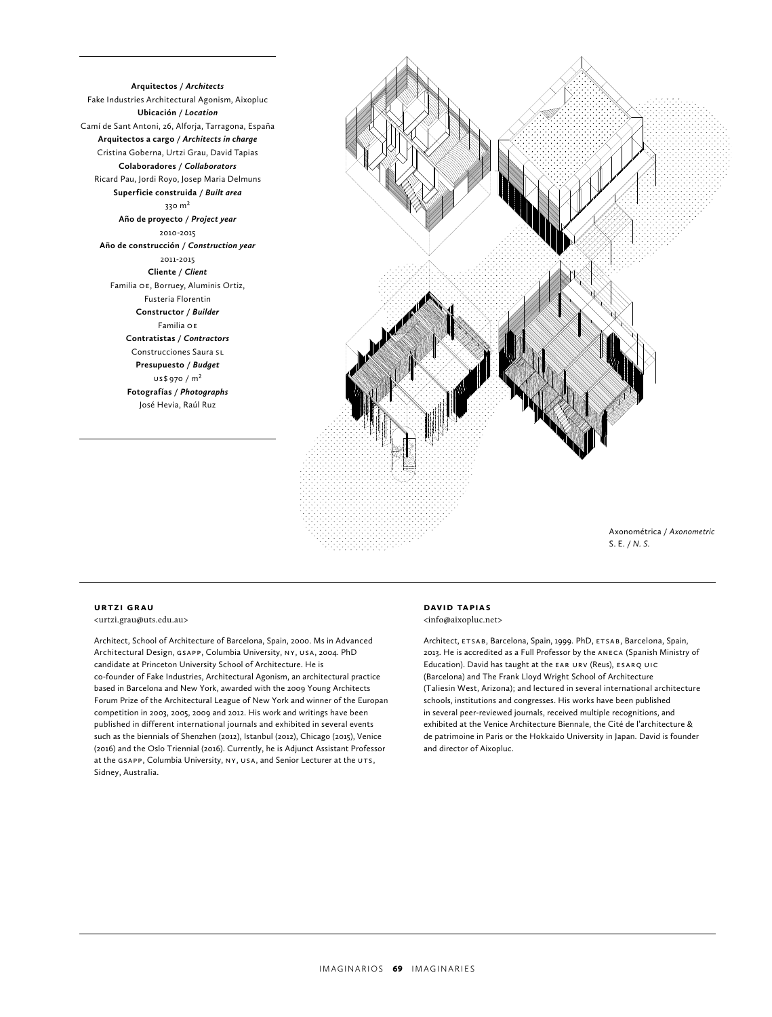**Arquitectos /** *Architects* Fake Industries Architectural Agonism, Aixopluc **Ubicación /** *Location* Camí de Sant Antoni, 26, Alforja, Tarragona, España **Arquitectos a cargo /** *Architects in charge* Cristina Goberna, Urtzi Grau, David Tapias **Colaboradores /** *Collaborators* Ricard Pau, Jordi Royo, Josep Maria Delmuns **Superficie construida /** *Built area* 330 m<sup>2</sup> **Año de proyecto /** *Project year* 2010-2015 **Año de construcción /** *Construction year* 2011-2015 **Cliente /** *Client* Familia OE, Borruey, Aluminis Ortiz, Fusteria Florentin **Constructor /** *Builder* Familia oe **Contratistas /** *Contractors* Construcciones Saura SL **Presupuesto /** *Budget*  $US$970 / m<sup>2</sup>$ **Fotografías /** *Photographs* José Hevia, Raúl Ruz



#### **urtzi grau**

<urtzi.grau@uts.edu.au>

Architect, School of Architecture of Barcelona, Spain, 2000. Ms in Advanced Architectural Design, GsApp, Columbia University, ny, usA, 2004. PhD candidate at Princeton University School of Architecture. He is co-founder of Fake Industries, Architectural Agonism, an architectural practice based in Barcelona and New York, awarded with the 2009 Young Architects Forum Prize of the Architectural League of New York and winner of the Europan competition in 2003, 2005, 2009 and 2012. His work and writings have been published in different international journals and exhibited in several events such as the biennials of Shenzhen (2012), Istanbul (2012), Chicago (2015), Venice (2016) and the Oslo Triennial (2016). Currently, he is Adjunct Assistant Professor at the GSAPP, Columbia University, NY, USA, and Senior Lecturer at the UTS, Sidney, Australia.

### **david tapias**

<info@aixopluc.net>

Architect, ETSAB, Barcelona, Spain, 1999. PhD, ETSAB, Barcelona, Spain, 2013. He is accredited as a Full Professor by the ANECA (Spanish Ministry of Education). David has taught at the EAR URV (Reus), ESARQ UIC (Barcelona) and The Frank Lloyd Wright School of Architecture (Taliesin West, Arizona); and lectured in several international architecture schools, institutions and congresses. His works have been published in several peer-reviewed journals, received multiple recognitions, and exhibited at the Venice Architecture Biennale, the Cité de l'architecture & de patrimoine in Paris or the Hokkaido University in Japan. David is founder and director of Aixopluc.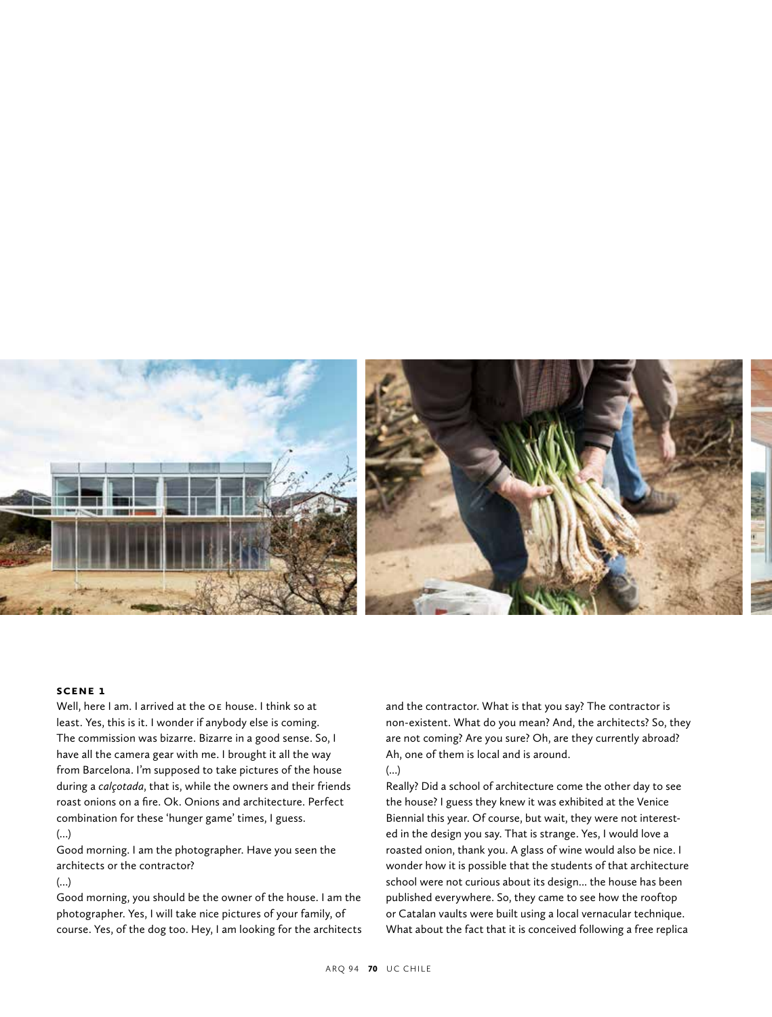

#### **scene 1**

Well, here I am. I arrived at the OE house. I think so at least. Yes, this is it. I wonder if anybody else is coming. The commission was bizarre. Bizarre in a good sense. So, I have all the camera gear with me. I brought it all the way from Barcelona. I'm supposed to take pictures of the house during a *calçotada*, that is, while the owners and their friends roast onions on a fire. Ok. Onions and architecture. Perfect combination for these 'hunger game' times, I guess.

#### (...)

Good morning. I am the photographer. Have you seen the architects or the contractor?

#### (...)

Good morning, you should be the owner of the house. I am the photographer. Yes, I will take nice pictures of your family, of course. Yes, of the dog too. Hey, I am looking for the architects and the contractor. What is that you say? The contractor is non-existent. What do you mean? And, the architects? So, they are not coming? Are you sure? Oh, are they currently abroad? Ah, one of them is local and is around.

#### (...)

Really? Did a school of architecture come the other day to see the house? I guess they knew it was exhibited at the Venice Biennial this year. Of course, but wait, they were not interested in the design you say. That is strange. Yes, I would love a roasted onion, thank you. A glass of wine would also be nice. I wonder how it is possible that the students of that architecture school were not curious about its design... the house has been published everywhere. So, they came to see how the rooftop or Catalan vaults were built using a local vernacular technique. What about the fact that it is conceived following a free replica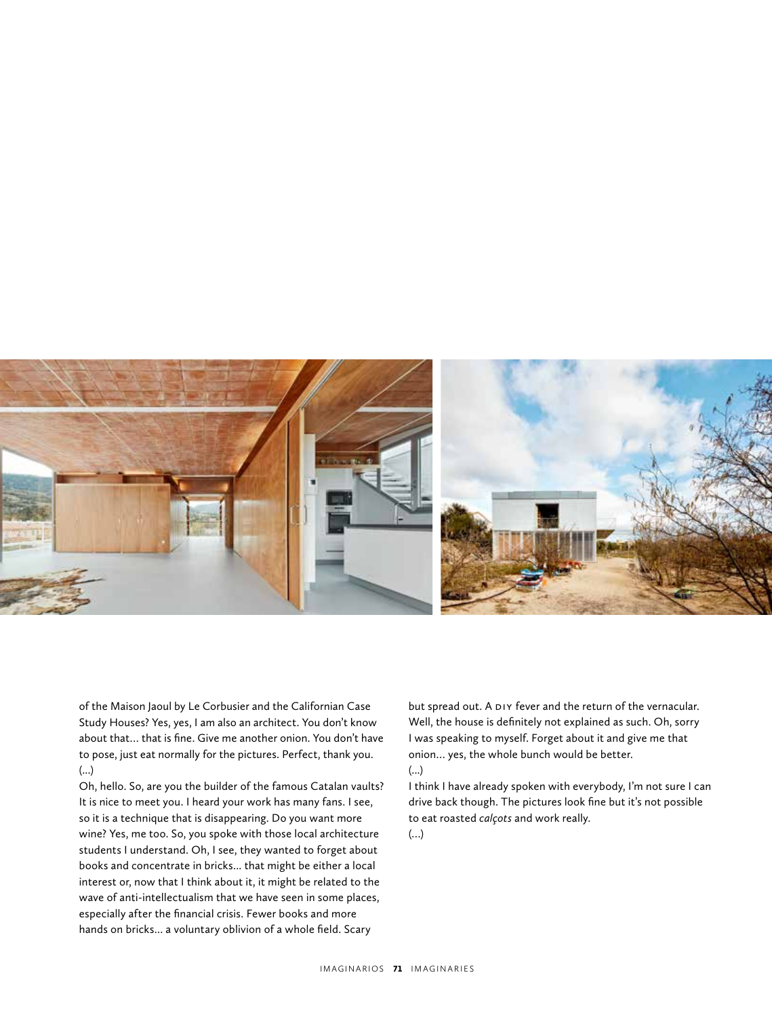

of the Maison Jaoul by Le Corbusier and the Californian Case Study Houses? Yes, yes, I am also an architect. You don't know about that… that is fine. Give me another onion. You don't have to pose, just eat normally for the pictures. Perfect, thank you. (...)

Oh, hello. So, are you the builder of the famous Catalan vaults? It is nice to meet you. I heard your work has many fans. I see, so it is a technique that is disappearing. Do you want more wine? Yes, me too. So, you spoke with those local architecture students I understand. Oh, I see, they wanted to forget about books and concentrate in bricks... that might be either a local interest or, now that I think about it, it might be related to the wave of anti-intellectualism that we have seen in some places, especially after the financial crisis. Fewer books and more hands on bricks... a voluntary oblivion of a whole field. Scary

but spread out. A DIY fever and the return of the vernacular. Well, the house is definitely not explained as such. Oh, sorry I was speaking to myself. Forget about it and give me that onion… yes, the whole bunch would be better.

#### (...)

I think I have already spoken with everybody, I'm not sure I can drive back though. The pictures look fine but it's not possible to eat roasted *calçots* and work really.

(…)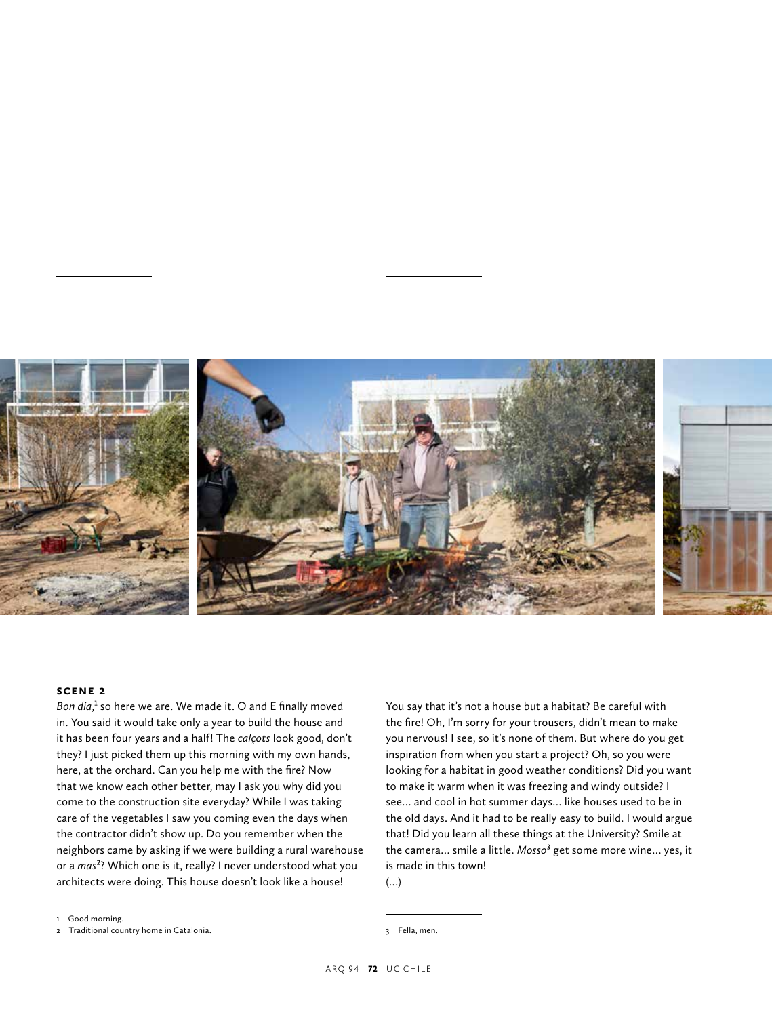

#### **scene 2**

Bon dia,<sup>1</sup> so here we are. We made it. O and E finally moved in. You said it would take only a year to build the house and it has been four years and a half! The *calçots* look good, don't they? I just picked them up this morning with my own hands, here, at the orchard. Can you help me with the fire? Now that we know each other better, may I ask you why did you come to the construction site everyday? While I was taking care of the vegetables I saw you coming even the days when the contractor didn't show up. Do you remember when the neighbors came by asking if we were building a rural warehouse or a *mas*2? Which one is it, really? I never understood what you architects were doing. This house doesn't look like a house!

You say that it's not a house but a habitat? Be careful with the fire! Oh, I'm sorry for your trousers, didn't mean to make you nervous! I see, so it's none of them. But where do you get inspiration from when you start a project? Oh, so you were looking for a habitat in good weather conditions? Did you want to make it warm when it was freezing and windy outside? I see… and cool in hot summer days… like houses used to be in the old days. And it had to be really easy to build. I would argue that! Did you learn all these things at the University? Smile at the camera… smile a little. *Mosso*3 get some more wine… yes, it is made in this town! (…)

3 Fella, men.

<sup>1</sup> Good morning.

<sup>2</sup> Traditional country home in Catalonia.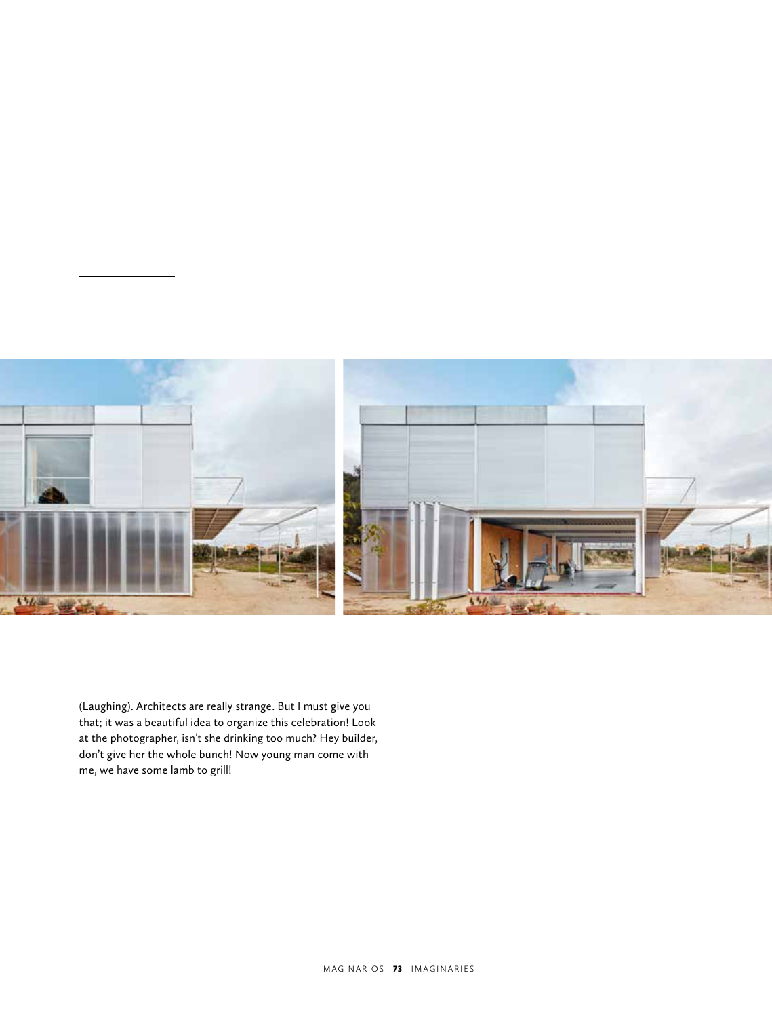

(Laughing). Architects are really strange. But I must give you that; it was a beautiful idea to organize this celebration! Look at the photographer, isn't she drinking too much? Hey builder, don't give her the whole bunch! Now young man come with me, we have some lamb to grill!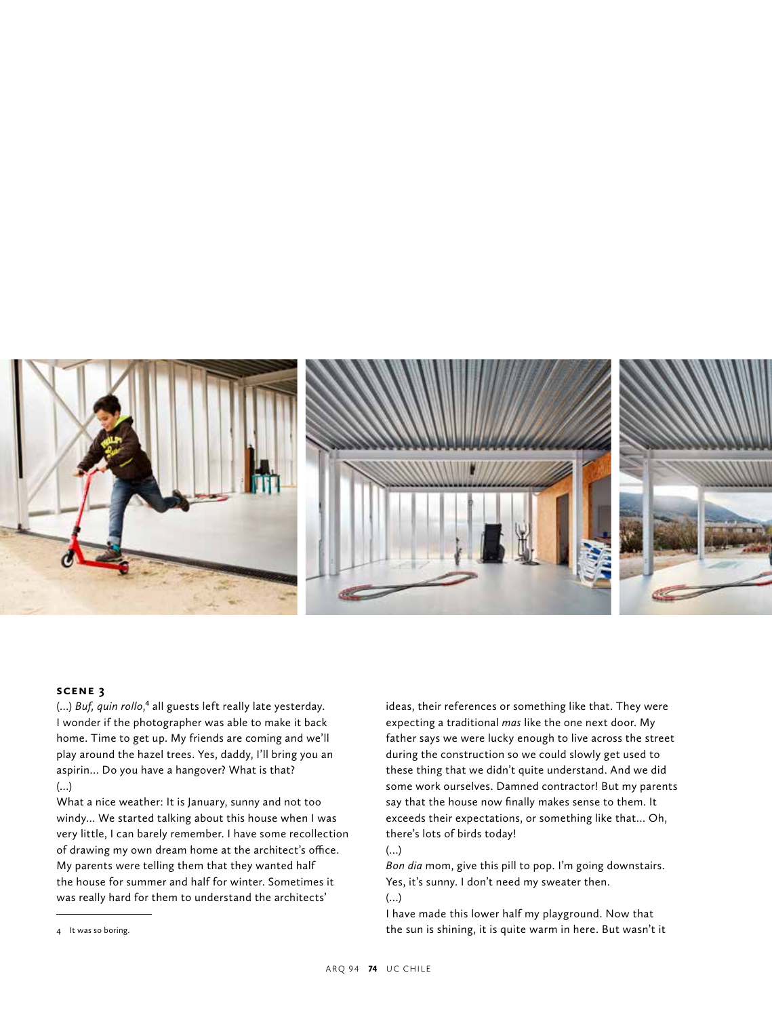

#### **scene 3**

(...) *Buf, quin rollo*,<sup>4</sup> all guests left really late yesterday. I wonder if the photographer was able to make it back home. Time to get up. My friends are coming and we'll play around the hazel trees. Yes, daddy, I'll bring you an aspirin… Do you have a hangover? What is that? (…)

What a nice weather: It is January, sunny and not too windy… We started talking about this house when I was very little, I can barely remember. I have some recollection of drawing my own dream home at the architect's office. My parents were telling them that they wanted half the house for summer and half for winter. Sometimes it was really hard for them to understand the architects'

ideas, their references or something like that. They were expecting a traditional *mas* like the one next door. My father says we were lucky enough to live across the street during the construction so we could slowly get used to these thing that we didn't quite understand. And we did some work ourselves. Damned contractor! But my parents say that the house now finally makes sense to them. It exceeds their expectations, or something like that… Oh, there's lots of birds today!

(…)

*Bon dia* mom, give this pill to pop. I'm going downstairs. Yes, it's sunny. I don't need my sweater then.

(…)

I have made this lower half my playground. Now that the sun is shining, it is quite warm in here. But wasn't it

<sup>4</sup> It was so boring.